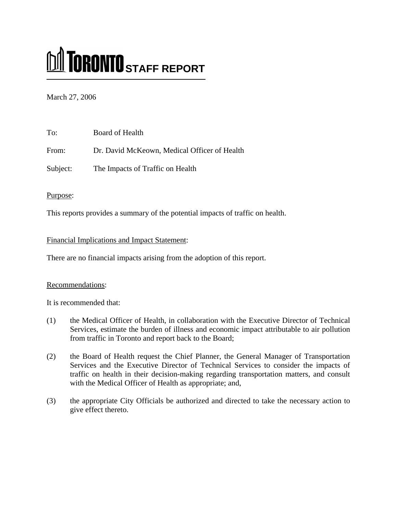# **M** TORONTO STAFF REPORT

## March 27, 2006

| To:      | Board of Health                              |
|----------|----------------------------------------------|
| From:    | Dr. David McKeown, Medical Officer of Health |
| Subject: | The Impacts of Traffic on Health             |

## Purpose:

This reports provides a summary of the potential impacts of traffic on health.

## Financial Implications and Impact Statement:

There are no financial impacts arising from the adoption of this report.

## Recommendations:

It is recommended that:

- (1) the Medical Officer of Health, in collaboration with the Executive Director of Technical Services, estimate the burden of illness and economic impact attributable to air pollution from traffic in Toronto and report back to the Board;
- (2) the Board of Health request the Chief Planner, the General Manager of Transportation Services and the Executive Director of Technical Services to consider the impacts of traffic on health in their decision-making regarding transportation matters, and consult with the Medical Officer of Health as appropriate; and,
- (3) the appropriate City Officials be authorized and directed to take the necessary action to give effect thereto.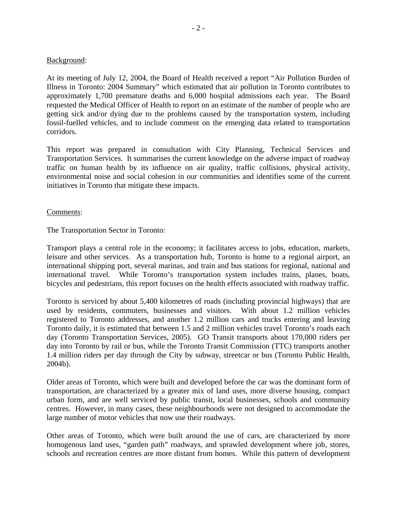#### Background:

At its meeting of July 12, 2004, the Board of Health received a report "Air Pollution Burden of Illness in Toronto: 2004 Summary" which estimated that air pollution in Toronto contributes to approximately 1,700 premature deaths and 6,000 hospital admissions each year. The Board requested the Medical Officer of Health to report on an estimate of the number of people who are getting sick and/or dying due to the problems caused by the transportation system, including fossil-fuelled vehicles, and to include comment on the emerging data related to transportation corridors.

This report was prepared in consultation with City Planning, Technical Services and Transportation Services. It summarises the current knowledge on the adverse impact of roadway traffic on human health by its influence on air quality, traffic collisions, physical activity, environmental noise and social cohesion in our communities and identifies some of the current initiatives in Toronto that mitigate these impacts.

#### Comments:

The Transportation Sector in Toronto:

Transport plays a central role in the economy; it facilitates access to jobs, education, markets, leisure and other services. As a transportation hub, Toronto is home to a regional airport, an international shipping port, several marinas, and train and bus stations for regional, national and international travel. While Toronto's transportation system includes trains, planes, boats, bicycles and pedestrians, this report focuses on the health effects associated with roadway traffic.

Toronto is serviced by about 5,400 kilometres of roads (including provincial highways) that are used by residents, commuters, businesses and visitors. With about 1.2 million vehicles registered to Toronto addresses, and another 1.2 million cars and trucks entering and leaving Toronto daily, it is estimated that between 1.5 and 2 million vehicles travel Toronto's roads each day (Toronto Transportation Services, 2005). GO Transit transports about 170,000 riders per day into Toronto by rail or bus, while the Toronto Transit Commission (TTC) transports another 1.4 million riders per day through the City by subway, streetcar or bus (Toronto Public Health, 2004b).

Older areas of Toronto, which were built and developed before the car was the dominant form of transportation, are characterized by a greater mix of land uses, more diverse housing, compact urban form, and are well serviced by public transit, local businesses, schools and community centres. However, in many cases, these neighbourhoods were not designed to accommodate the large number of motor vehicles that now use their roadways.

Other areas of Toronto, which were built around the use of cars, are characterized by more homogenous land uses, "garden path" roadways, and sprawled development where job, stores, schools and recreation centres are more distant from homes. While this pattern of development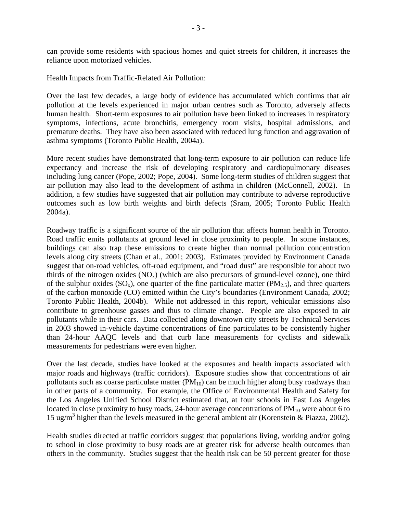can provide some residents with spacious homes and quiet streets for children, it increases the reliance upon motorized vehicles.

Health Impacts from Traffic-Related Air Pollution:

Over the last few decades, a large body of evidence has accumulated which confirms that air pollution at the levels experienced in major urban centres such as Toronto, adversely affects human health. Short-term exposures to air pollution have been linked to increases in respiratory symptoms, infections, acute bronchitis, emergency room visits, hospital admissions, and premature deaths. They have also been associated with reduced lung function and aggravation of asthma symptoms (Toronto Public Health, 2004a).

More recent studies have demonstrated that long-term exposure to air pollution can reduce life expectancy and increase the risk of developing respiratory and cardiopulmonary diseases including lung cancer (Pope, 2002; Pope, 2004). Some long-term studies of children suggest that air pollution may also lead to the development of asthma in children (McConnell, 2002). In addition, a few studies have suggested that air pollution may contribute to adverse reproductive outcomes such as low birth weights and birth defects (Sram, 2005; Toronto Public Health 2004a).

Roadway traffic is a significant source of the air pollution that affects human health in Toronto. Road traffic emits pollutants at ground level in close proximity to people. In some instances, buildings can also trap these emissions to create higher than normal pollution concentration levels along city streets (Chan et al., 2001; 2003). Estimates provided by Environment Canada suggest that on-road vehicles, off-road equipment, and "road dust" are responsible for about two thirds of the nitrogen oxides  $(NO_x)$  (which are also precursors of ground-level ozone), one third of the sulphur oxides  $(SO_x)$ , one quarter of the fine particulate matter  $(PM_2, 5)$ , and three quarters of the carbon monoxide (CO) emitted within the City's boundaries (Environment Canada, 2002; Toronto Public Health, 2004b). While not addressed in this report, vehicular emissions also contribute to greenhouse gasses and thus to climate change. People are also exposed to air pollutants while in their cars. Data collected along downtown city streets by Technical Services in 2003 showed in-vehicle daytime concentrations of fine particulates to be consistently higher than 24-hour AAQC levels and that curb lane measurements for cyclists and sidewalk measurements for pedestrians were even higher.

Over the last decade, studies have looked at the exposures and health impacts associated with major roads and highways (traffic corridors). Exposure studies show that concentrations of air pollutants such as coarse particulate matter  $(PM_{10})$  can be much higher along busy roadways than in other parts of a community. For example, the Office of Environmental Health and Safety for the Los Angeles Unified School District estimated that, at four schools in East Los Angeles located in close proximity to busy roads, 24-hour average concentrations of  $PM_{10}$  were about 6 to 15 ug/m3 higher than the levels measured in the general ambient air (Korenstein & Piazza, 2002).

Health studies directed at traffic corridors suggest that populations living, working and/or going to school in close proximity to busy roads are at greater risk for adverse health outcomes than others in the community. Studies suggest that the health risk can be 50 percent greater for those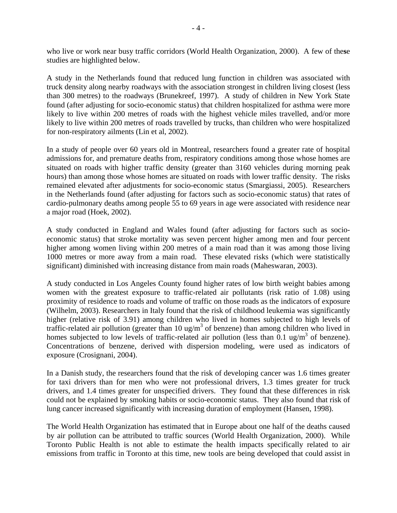who live or work near busy traffic corridors (World Health Organization, 2000). A few of the**s**e studies are highlighted below.

A study in the Netherlands found that reduced lung function in children was associated with truck density along nearby roadways with the association strongest in children living closest (less than 300 metres) to the roadways (Brunekreef, 1997). A study of children in New York State found (after adjusting for socio-economic status) that children hospitalized for asthma were more likely to live within 200 metres of roads with the highest vehicle miles travelled, and/or more likely to live within 200 metres of roads travelled by trucks, than children who were hospitalized for non-respiratory ailments (Lin et al, 2002).

In a study of people over 60 years old in Montreal, researchers found a greater rate of hospital admissions for, and premature deaths from, respiratory conditions among those whose homes are situated on roads with higher traffic density (greater than 3160 vehicles during morning peak hours) than among those whose homes are situated on roads with lower traffic density. The risks remained elevated after adjustments for socio-economic status (Smargiassi, 2005). Researchers in the Netherlands found (after adjusting for factors such as socio-economic status) that rates of cardio-pulmonary deaths among people 55 to 69 years in age were associated with residence near a major road (Hoek, 2002).

A study conducted in England and Wales found (after adjusting for factors such as socioeconomic status) that stroke mortality was seven percent higher among men and four percent higher among women living within 200 metres of a main road than it was among those living 1000 metres or more away from a main road. These elevated risks (which were statistically significant) diminished with increasing distance from main roads (Maheswaran, 2003).

A study conducted in Los Angeles County found higher rates of low birth weight babies among women with the greatest exposure to traffic-related air pollutants (risk ratio of 1.08) using proximity of residence to roads and volume of traffic on those roads as the indicators of exposure (Wilhelm, 2003). Researchers in Italy found that the risk of childhood leukemia was significantly higher (relative risk of 3.91) among children who lived in homes subjected to high levels of traffic-related air pollution (greater than 10 ug/m<sup>3</sup> of benzene) than among children who lived in homes subjected to low levels of traffic-related air pollution (less than  $0.1 \text{ ug/m}^3$  of benzene). Concentrations of benzene, derived with dispersion modeling, were used as indicators of exposure (Crosignani, 2004).

In a Danish study, the researchers found that the risk of developing cancer was 1.6 times greater for taxi drivers than for men who were not professional drivers, 1.3 times greater for truck drivers, and 1.4 times greater for unspecified drivers. They found that these differences in risk could not be explained by smoking habits or socio-economic status. They also found that risk of lung cancer increased significantly with increasing duration of employment (Hansen, 1998).

The World Health Organization has estimated that in Europe about one half of the deaths caused by air pollution can be attributed to traffic sources (World Health Organization, 2000). While Toronto Public Health is not able to estimate the health impacts specifically related to air emissions from traffic in Toronto at this time, new tools are being developed that could assist in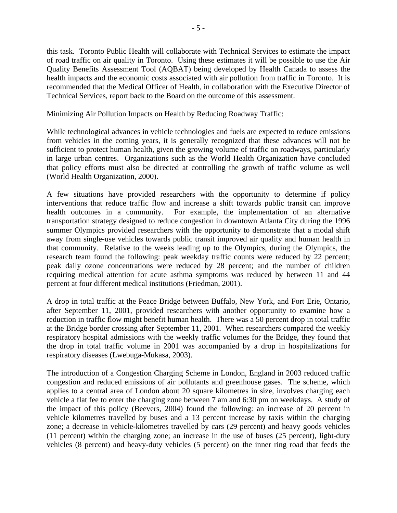this task. Toronto Public Health will collaborate with Technical Services to estimate the impact of road traffic on air quality in Toronto. Using these estimates it will be possible to use the Air Quality Benefits Assessment Tool (AQBAT) being developed by Health Canada to assess the health impacts and the economic costs associated with air pollution from traffic in Toronto. It is recommended that the Medical Officer of Health, in collaboration with the Executive Director of Technical Services, report back to the Board on the outcome of this assessment.

Minimizing Air Pollution Impacts on Health by Reducing Roadway Traffic:

While technological advances in vehicle technologies and fuels are expected to reduce emissions from vehicles in the coming years, it is generally recognized that these advances will not be sufficient to protect human health, given the growing volume of traffic on roadways, particularly in large urban centres. Organizations such as the World Health Organization have concluded that policy efforts must also be directed at controlling the growth of traffic volume as well (World Health Organization, 2000).

A few situations have provided researchers with the opportunity to determine if policy interventions that reduce traffic flow and increase a shift towards public transit can improve health outcomes in a community. For example, the implementation of an alternative transportation strategy designed to reduce congestion in downtown Atlanta City during the 1996 summer Olympics provided researchers with the opportunity to demonstrate that a modal shift away from single-use vehicles towards public transit improved air quality and human health in that community. Relative to the weeks leading up to the Olympics, during the Olympics, the research team found the following: peak weekday traffic counts were reduced by 22 percent; peak daily ozone concentrations were reduced by 28 percent; and the number of children requiring medical attention for acute asthma symptoms was reduced by between 11 and 44 percent at four different medical institutions (Friedman, 2001).

A drop in total traffic at the Peace Bridge between Buffalo, New York, and Fort Erie, Ontario, after September 11, 2001, provided researchers with another opportunity to examine how a reduction in traffic flow might benefit human health. There was a 50 percent drop in total traffic at the Bridge border crossing after September 11, 2001. When researchers compared the weekly respiratory hospital admissions with the weekly traffic volumes for the Bridge, they found that the drop in total traffic volume in 2001 was accompanied by a drop in hospitalizations for respiratory diseases (Lwebuga-Mukasa, 2003).

The introduction of a Congestion Charging Scheme in London, England in 2003 reduced traffic congestion and reduced emissions of air pollutants and greenhouse gases. The scheme, which applies to a central area of London about 20 square kilometres in size, involves charging each vehicle a flat fee to enter the charging zone between 7 am and 6:30 pm on weekdays. A study of the impact of this policy (Beevers, 2004) found the following: an increase of 20 percent in vehicle kilometres travelled by buses and a 13 percent increase by taxis within the charging zone; a decrease in vehicle-kilometres travelled by cars (29 percent) and heavy goods vehicles (11 percent) within the charging zone; an increase in the use of buses (25 percent), light-duty vehicles (8 percent) and heavy-duty vehicles (5 percent) on the inner ring road that feeds the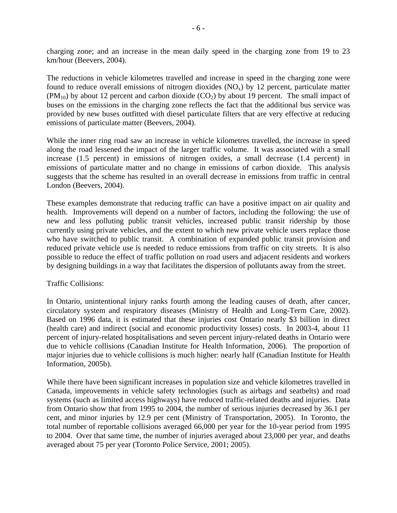charging zone; and an increase in the mean daily speed in the charging zone from 19 to 23 km/hour (Beevers, 2004).

The reductions in vehicle kilometres travelled and increase in speed in the charging zone were found to reduce overall emissions of nitrogen dioxides  $(NO<sub>x</sub>)$  by 12 percent, particulate matter  $(PM_{10})$  by about 12 percent and carbon dioxide  $(CO_2)$  by about 19 percent. The small impact of buses on the emissions in the charging zone reflects the fact that the additional bus service was provided by new buses outfitted with diesel particulate filters that are very effective at reducing emissions of particulate matter (Beevers, 2004).

While the inner ring road saw an increase in vehicle kilometres travelled, the increase in speed along the road lessened the impact of the larger traffic volume. It was associated with a small increase (1.5 percent) in emissions of nitrogen oxides, a small decrease (1.4 percent) in emissions of particulate matter and no change in emissions of carbon dioxide. This analysis suggests that the scheme has resulted in an overall decrease in emissions from traffic in central London (Beevers, 2004).

These examples demonstrate that reducing traffic can have a positive impact on air quality and health. Improvements will depend on a number of factors, including the following: the use of new and less polluting public transit vehicles, increased public transit ridership by those currently using private vehicles, and the extent to which new private vehicle users replace those who have switched to public transit. A combination of expanded public transit provision and reduced private vehicle use is needed to reduce emissions from traffic on city streets. It is also possible to reduce the effect of traffic pollution on road users and adjacent residents and workers by designing buildings in a way that facilitates the dispersion of pollutants away from the street.

### Traffic Collisions:

In Ontario, unintentional injury ranks fourth among the leading causes of death, after cancer, circulatory system and respiratory diseases (Ministry of Health and Long-Term Care, 2002). Based on 1996 data, it is estimated that these injuries cost Ontario nearly \$3 billion in direct (health care) and indirect (social and economic productivity losses) costs. In 2003-4, about 11 percent of injury-related hospitalisations and seven percent injury-related deaths in Ontario were due to vehicle collisions (Canadian Institute for Health Information, 2006). The proportion of major injuries due to vehicle collisions is much higher: nearly half (Canadian Institute for Health Information, 2005b).

While there have been significant increases in population size and vehicle kilometres travelled in Canada, improvements in vehicle safety technologies (such as airbags and seatbelts) and road systems (such as limited access highways) have reduced traffic-related deaths and injuries. Data from Ontario show that from 1995 to 2004, the number of serious injuries decreased by 36.1 per cent, and minor injuries by 12.9 per cent (Ministry of Transportation, 2005). In Toronto, the total number of reportable collisions averaged 66,000 per year for the 10-year period from 1995 to 2004. Over that same time, the number of injuries averaged about 23,000 per year, and deaths averaged about 75 per year (Toronto Police Service, 2001; 2005).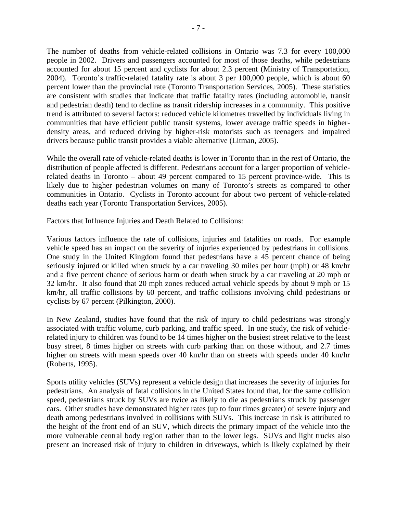The number of deaths from vehicle-related collisions in Ontario was 7.3 for every 100,000 people in 2002. Drivers and passengers accounted for most of those deaths, while pedestrians accounted for about 15 percent and cyclists for about 2.3 percent (Ministry of Transportation, 2004). Toronto's traffic-related fatality rate is about 3 per 100,000 people, which is about 60 percent lower than the provincial rate (Toronto Transportation Services, 2005). These statistics are consistent with studies that indicate that traffic fatality rates (including automobile, transit and pedestrian death) tend to decline as transit ridership increases in a community. This positive trend is attributed to several factors: reduced vehicle kilometres travelled by individuals living in communities that have efficient public transit systems, lower average traffic speeds in higherdensity areas, and reduced driving by higher-risk motorists such as teenagers and impaired drivers because public transit provides a viable alternative (Litman, 2005).

While the overall rate of vehicle-related deaths is lower in Toronto than in the rest of Ontario, the distribution of people affected is different. Pedestrians account for a larger proportion of vehiclerelated deaths in Toronto – about 49 percent compared to 15 percent province-wide. This is likely due to higher pedestrian volumes on many of Toronto's streets as compared to other communities in Ontario. Cyclists in Toronto account for about two percent of vehicle-related deaths each year (Toronto Transportation Services, 2005).

Factors that Influence Injuries and Death Related to Collisions:

Various factors influence the rate of collisions, injuries and fatalities on roads. For example vehicle speed has an impact on the severity of injuries experienced by pedestrians in collisions. One study in the United Kingdom found that pedestrians have a 45 percent chance of being seriously injured or killed when struck by a car traveling 30 miles per hour (mph) or 48 km/hr and a five percent chance of serious harm or death when struck by a car traveling at 20 mph or 32 km/hr. It also found that 20 mph zones reduced actual vehicle speeds by about 9 mph or 15 km/hr, all traffic collisions by 60 percent, and traffic collisions involving child pedestrians or cyclists by 67 percent (Pilkington, 2000).

In New Zealand, studies have found that the risk of injury to child pedestrians was strongly associated with traffic volume, curb parking, and traffic speed. In one study, the risk of vehiclerelated injury to children was found to be 14 times higher on the busiest street relative to the least busy street, 8 times higher on streets with curb parking than on those without, and 2.7 times higher on streets with mean speeds over 40 km/hr than on streets with speeds under 40 km/hr (Roberts, 1995).

Sports utility vehicles (SUVs) represent a vehicle design that increases the severity of injuries for pedestrians. An analysis of fatal collisions in the United States found that, for the same collision speed, pedestrians struck by SUVs are twice as likely to die as pedestrians struck by passenger cars. Other studies have demonstrated higher rates (up to four times greater) of severe injury and death among pedestrians involved in collisions with SUVs. This increase in risk is attributed to the height of the front end of an SUV, which directs the primary impact of the vehicle into the more vulnerable central body region rather than to the lower legs. SUVs and light trucks also present an increased risk of injury to children in driveways, which is likely explained by their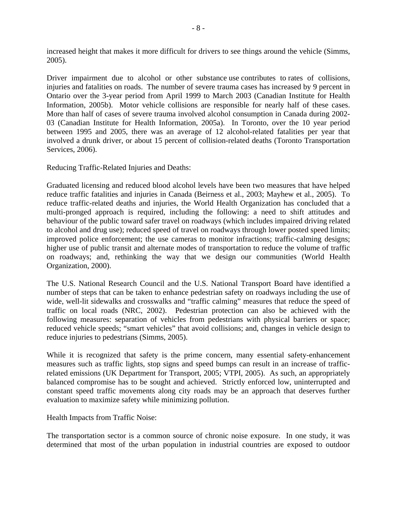increased height that makes it more difficult for drivers to see things around the vehicle (Simms, 2005).

Driver impairment due to alcohol or other substance use contributes to rates of collisions, injuries and fatalities on roads. The number of severe trauma cases has increased by 9 percent in Ontario over the 3-year period from April 1999 to March 2003 (Canadian Institute for Health Information, 2005b). Motor vehicle collisions are responsible for nearly half of these cases. More than half of cases of severe trauma involved alcohol consumption in Canada during 2002- 03 (Canadian Institute for Health Information, 2005a). In Toronto, over the 10 year period between 1995 and 2005, there was an average of 12 alcohol-related fatalities per year that involved a drunk driver, or about 15 percent of collision-related deaths (Toronto Transportation Services, 2006).

Reducing Traffic-Related Injuries and Deaths:

Graduated licensing and reduced blood alcohol levels have been two measures that have helped reduce traffic fatalities and injuries in Canada (Beirness et al., 2003; Mayhew et al., 2005). To reduce traffic-related deaths and injuries, the World Health Organization has concluded that a multi-pronged approach is required, including the following: a need to shift attitudes and behaviour of the public toward safer travel on roadways (which includes impaired driving related to alcohol and drug use); reduced speed of travel on roadways through lower posted speed limits; improved police enforcement; the use cameras to monitor infractions; traffic-calming designs; higher use of public transit and alternate modes of transportation to reduce the volume of traffic on roadways; and, rethinking the way that we design our communities (World Health Organization, 2000).

The U.S. National Research Council and the U.S. National Transport Board have identified a number of steps that can be taken to enhance pedestrian safety on roadways including the use of wide, well-lit sidewalks and crosswalks and "traffic calming" measures that reduce the speed of traffic on local roads (NRC, 2002). Pedestrian protection can also be achieved with the following measures: separation of vehicles from pedestrians with physical barriers or space; reduced vehicle speeds; "smart vehicles" that avoid collisions; and, changes in vehicle design to reduce injuries to pedestrians (Simms, 2005).

While it is recognized that safety is the prime concern, many essential safety-enhancement measures such as traffic lights, stop signs and speed bumps can result in an increase of trafficrelated emissions (UK Department for Transport, 2005; VTPI, 2005). As such, an appropriately balanced compromise has to be sought and achieved. Strictly enforced low, uninterrupted and constant speed traffic movements along city roads may be an approach that deserves further evaluation to maximize safety while minimizing pollution.

Health Impacts from Traffic Noise:

The transportation sector is a common source of chronic noise exposure. In one study, it was determined that most of the urban population in industrial countries are exposed to outdoor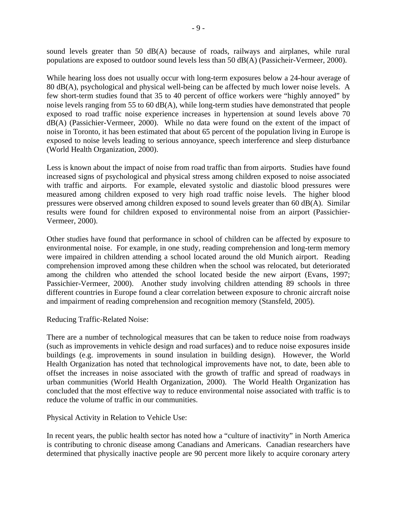sound levels greater than 50 dB(A) because of roads, railways and airplanes, while rural populations are exposed to outdoor sound levels less than 50 dB(A) (Passicheir-Vermeer, 2000).

While hearing loss does not usually occur with long-term exposures below a 24-hour average of 80 dB(A), psychological and physical well-being can be affected by much lower noise levels. A few short-term studies found that 35 to 40 percent of office workers were "highly annoyed" by noise levels ranging from 55 to 60 dB(A), while long-term studies have demonstrated that people exposed to road traffic noise experience increases in hypertension at sound levels above 70 dB(A) (Passichier-Vermeer, 2000). While no data were found on the extent of the impact of noise in Toronto, it has been estimated that about 65 percent of the population living in Europe is exposed to noise levels leading to serious annoyance, speech interference and sleep disturbance (World Health Organization, 2000).

Less is known about the impact of noise from road traffic than from airports. Studies have found increased signs of psychological and physical stress among children exposed to noise associated with traffic and airports. For example, elevated systolic and diastolic blood pressures were measured among children exposed to very high road traffic noise levels. The higher blood pressures were observed among children exposed to sound levels greater than 60 dB(A). Similar results were found for children exposed to environmental noise from an airport (Passichier-Vermeer, 2000).

Other studies have found that performance in school of children can be affected by exposure to environmental noise. For example, in one study, reading comprehension and long-term memory were impaired in children attending a school located around the old Munich airport. Reading comprehension improved among these children when the school was relocated, but deteriorated among the children who attended the school located beside the new airport (Evans, 1997; Passichier-Vermeer, 2000). Another study involving children attending 89 schools in three different countries in Europe found a clear correlation between exposure to chronic aircraft noise and impairment of reading comprehension and recognition memory (Stansfeld, 2005).

Reducing Traffic-Related Noise:

There are a number of technological measures that can be taken to reduce noise from roadways (such as improvements in vehicle design and road surfaces) and to reduce noise exposures inside buildings (e.g. improvements in sound insulation in building design). However, the World Health Organization has noted that technological improvements have not, to date, been able to offset the increases in noise associated with the growth of traffic and spread of roadways in urban communities (World Health Organization, 2000). The World Health Organization has concluded that the most effective way to reduce environmental noise associated with traffic is to reduce the volume of traffic in our communities.

Physical Activity in Relation to Vehicle Use:

In recent years, the public health sector has noted how a "culture of inactivity" in North America is contributing to chronic disease among Canadians and Americans. Canadian researchers have determined that physically inactive people are 90 percent more likely to acquire coronary artery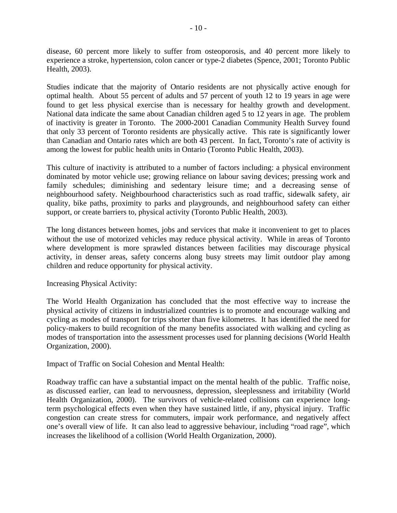disease, 60 percent more likely to suffer from osteoporosis, and 40 percent more likely to experience a stroke, hypertension, colon cancer or type-2 diabetes (Spence, 2001; Toronto Public Health, 2003).

Studies indicate that the majority of Ontario residents are not physically active enough for optimal health. About 55 percent of adults and 57 percent of youth 12 to 19 years in age were found to get less physical exercise than is necessary for healthy growth and development. National data indicate the same about Canadian children aged 5 to 12 years in age. The problem of inactivity is greater in Toronto. The 2000-2001 Canadian Community Health Survey found that only 33 percent of Toronto residents are physically active. This rate is significantly lower than Canadian and Ontario rates which are both 43 percent. In fact, Toronto's rate of activity is among the lowest for public health units in Ontario (Toronto Public Health, 2003).

This culture of inactivity is attributed to a number of factors including: a physical environment dominated by motor vehicle use; growing reliance on labour saving devices; pressing work and family schedules; diminishing and sedentary leisure time; and a decreasing sense of neighbourhood safety. Neighbourhood characteristics such as road traffic, sidewalk safety, air quality, bike paths, proximity to parks and playgrounds, and neighbourhood safety can either support, or create barriers to, physical activity (Toronto Public Health, 2003).

The long distances between homes, jobs and services that make it inconvenient to get to places without the use of motorized vehicles may reduce physical activity. While in areas of Toronto where development is more sprawled distances between facilities may discourage physical activity, in denser areas, safety concerns along busy streets may limit outdoor play among children and reduce opportunity for physical activity.

Increasing Physical Activity:

The World Health Organization has concluded that the most effective way to increase the physical activity of citizens in industrialized countries is to promote and encourage walking and cycling as modes of transport for trips shorter than five kilometres. It has identified the need for policy-makers to build recognition of the many benefits associated with walking and cycling as modes of transportation into the assessment processes used for planning decisions (World Health Organization, 2000).

Impact of Traffic on Social Cohesion and Mental Health:

Roadway traffic can have a substantial impact on the mental health of the public. Traffic noise, as discussed earlier, can lead to nervousness, depression, sleeplessness and irritability (World Health Organization, 2000). The survivors of vehicle-related collisions can experience longterm psychological effects even when they have sustained little, if any, physical injury. Traffic congestion can create stress for commuters, impair work performance, and negatively affect one's overall view of life. It can also lead to aggressive behaviour, including "road rage", which increases the likelihood of a collision (World Health Organization, 2000).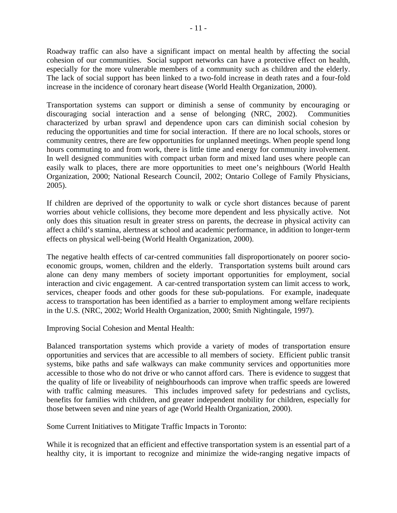Roadway traffic can also have a significant impact on mental health by affecting the social cohesion of our communities. Social support networks can have a protective effect on health, especially for the more vulnerable members of a community such as children and the elderly. The lack of social support has been linked to a two-fold increase in death rates and a four-fold increase in the incidence of coronary heart disease (World Health Organization, 2000).

Transportation systems can support or diminish a sense of community by encouraging or discouraging social interaction and a sense of belonging (NRC, 2002). Communities characterized by urban sprawl and dependence upon cars can diminish social cohesion by reducing the opportunities and time for social interaction. If there are no local schools, stores or community centres, there are few opportunities for unplanned meetings. When people spend long hours commuting to and from work, there is little time and energy for community involvement. In well designed communities with compact urban form and mixed land uses where people can easily walk to places, there are more opportunities to meet one's neighbours (World Health Organization, 2000; National Research Council, 2002; Ontario College of Family Physicians, 2005).

If children are deprived of the opportunity to walk or cycle short distances because of parent worries about vehicle collisions, they become more dependent and less physically active. Not only does this situation result in greater stress on parents, the decrease in physical activity can affect a child's stamina, alertness at school and academic performance, in addition to longer-term effects on physical well-being (World Health Organization, 2000).

The negative health effects of car-centred communities fall disproportionately on poorer socioeconomic groups, women, children and the elderly. Transportation systems built around cars alone can deny many members of society important opportunities for employment, social interaction and civic engagement. A car-centred transportation system can limit access to work, services, cheaper foods and other goods for these sub-populations. For example, inadequate access to transportation has been identified as a barrier to employment among welfare recipients in the U.S. (NRC, 2002; World Health Organization, 2000; Smith Nightingale, 1997).

Improving Social Cohesion and Mental Health:

Balanced transportation systems which provide a variety of modes of transportation ensure opportunities and services that are accessible to all members of society. Efficient public transit systems, bike paths and safe walkways can make community services and opportunities more accessible to those who do not drive or who cannot afford cars. There is evidence to suggest that the quality of life or liveability of neighbourhoods can improve when traffic speeds are lowered with traffic calming measures. This includes improved safety for pedestrians and cyclists, benefits for families with children, and greater independent mobility for children, especially for those between seven and nine years of age (World Health Organization, 2000).

Some Current Initiatives to Mitigate Traffic Impacts in Toronto:

While it is recognized that an efficient and effective transportation system is an essential part of a healthy city, it is important to recognize and minimize the wide-ranging negative impacts of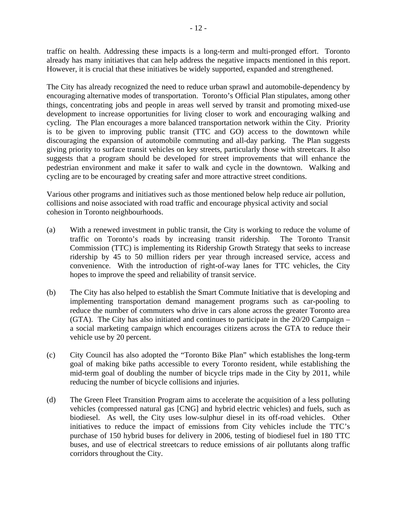traffic on health. Addressing these impacts is a long-term and multi-pronged effort. Toronto already has many initiatives that can help address the negative impacts mentioned in this report. However, it is crucial that these initiatives be widely supported, expanded and strengthened.

The City has already recognized the need to reduce urban sprawl and automobile-dependency by encouraging alternative modes of transportation. Toronto's Official Plan stipulates, among other things, concentrating jobs and people in areas well served by transit and promoting mixed-use development to increase opportunities for living closer to work and encouraging walking and cycling. The Plan encourages a more balanced transportation network within the City. Priority is to be given to improving public transit (TTC and GO) access to the downtown while discouraging the expansion of automobile commuting and all-day parking. The Plan suggests giving priority to surface transit vehicles on key streets, particularly those with streetcars. It also suggests that a program should be developed for street improvements that will enhance the pedestrian environment and make it safer to walk and cycle in the downtown. Walking and cycling are to be encouraged by creating safer and more attractive street conditions.

Various other programs and initiatives such as those mentioned below help reduce air pollution, collisions and noise associated with road traffic and encourage physical activity and social cohesion in Toronto neighbourhoods.

- (a) With a renewed investment in public transit, the City is working to reduce the volume of traffic on Toronto's roads by increasing transit ridership. The Toronto Transit Commission (TTC) is implementing its Ridership Growth Strategy that seeks to increase ridership by 45 to 50 million riders per year through increased service, access and convenience. With the introduction of right-of-way lanes for TTC vehicles, the City hopes to improve the speed and reliability of transit service.
- (b) The City has also helped to establish the Smart Commute Initiative that is developing and implementing transportation demand management programs such as car-pooling to reduce the number of commuters who drive in cars alone across the greater Toronto area (GTA). The City has also initiated and continues to participate in the 20/20 Campaign – a social marketing campaign which encourages citizens across the GTA to reduce their vehicle use by 20 percent.
- (c) City Council has also adopted the "Toronto Bike Plan" which establishes the long-term goal of making bike paths accessible to every Toronto resident, while establishing the mid-term goal of doubling the number of bicycle trips made in the City by 2011, while reducing the number of bicycle collisions and injuries.
- (d) The Green Fleet Transition Program aims to accelerate the acquisition of a less polluting vehicles (compressed natural gas [CNG] and hybrid electric vehicles) and fuels, such as biodiesel. As well, the City uses low-sulphur diesel in its off-road vehicles. Other initiatives to reduce the impact of emissions from City vehicles include the TTC's purchase of 150 hybrid buses for delivery in 2006, testing of biodiesel fuel in 180 TTC buses, and use of electrical streetcars to reduce emissions of air pollutants along traffic corridors throughout the City.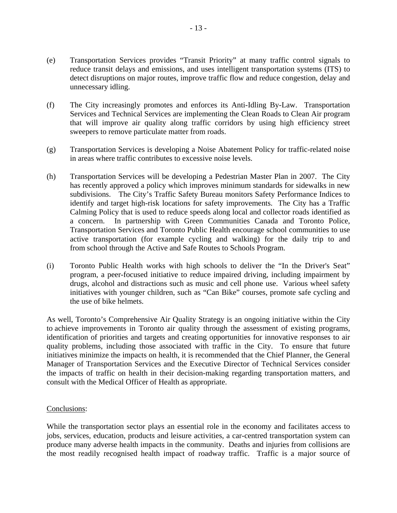- (e) Transportation Services provides "Transit Priority" at many traffic control signals to reduce transit delays and emissions, and uses intelligent transportation systems (ITS) to detect disruptions on major routes, improve traffic flow and reduce congestion, delay and unnecessary idling.
- (f) The City increasingly promotes and enforces its Anti-Idling By-Law. Transportation Services and Technical Services are implementing the Clean Roads to Clean Air program that will improve air quality along traffic corridors by using high efficiency street sweepers to remove particulate matter from roads.
- (g) Transportation Services is developing a Noise Abatement Policy for traffic-related noise in areas where traffic contributes to excessive noise levels.
- (h) Transportation Services will be developing a Pedestrian Master Plan in 2007. The City has recently approved a policy which improves minimum standards for sidewalks in new subdivisions. The City's Traffic Safety Bureau monitors Safety Performance Indices to identify and target high-risk locations for safety improvements. The City has a Traffic Calming Policy that is used to reduce speeds along local and collector roads identified as a concern. In partnership with Green Communities Canada and Toronto Police, Transportation Services and Toronto Public Health encourage school communities to use active transportation (for example cycling and walking) for the daily trip to and from school through the Active and Safe Routes to Schools Program.
- (i) Toronto Public Health works with high schools to deliver the "In the Driver's Seat" program, a peer-focused initiative to reduce impaired driving, including impairment by drugs, alcohol and distractions such as music and cell phone use. Various wheel safety initiatives with younger children, such as "Can Bike" courses, promote safe cycling and the use of bike helmets.

As well, Toronto's Comprehensive Air Quality Strategy is an ongoing initiative within the City to achieve improvements in Toronto air quality through the assessment of existing programs, identification of priorities and targets and creating opportunities for innovative responses to air quality problems, including those associated with traffic in the City. To ensure that future initiatives minimize the impacts on health, it is recommended that the Chief Planner, the General Manager of Transportation Services and the Executive Director of Technical Services consider the impacts of traffic on health in their decision-making regarding transportation matters, and consult with the Medical Officer of Health as appropriate.

#### Conclusions:

While the transportation sector plays an essential role in the economy and facilitates access to jobs, services, education, products and leisure activities, a car-centred transportation system can produce many adverse health impacts in the community. Deaths and injuries from collisions are the most readily recognised health impact of roadway traffic. Traffic is a major source of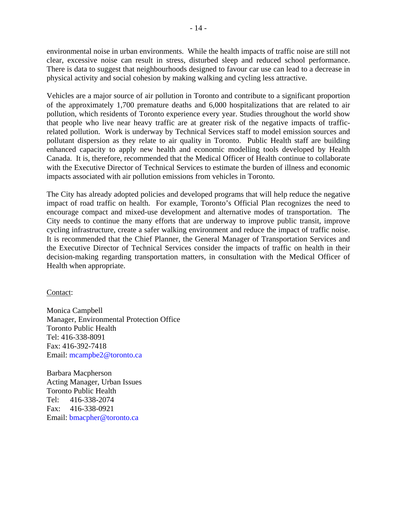environmental noise in urban environments. While the health impacts of traffic noise are still not clear, excessive noise can result in stress, disturbed sleep and reduced school performance. There is data to suggest that neighbourhoods designed to favour car use can lead to a decrease in physical activity and social cohesion by making walking and cycling less attractive.

Vehicles are a major source of air pollution in Toronto and contribute to a significant proportion of the approximately 1,700 premature deaths and 6,000 hospitalizations that are related to air pollution, which residents of Toronto experience every year. Studies throughout the world show that people who live near heavy traffic are at greater risk of the negative impacts of trafficrelated pollution. Work is underway by Technical Services staff to model emission sources and pollutant dispersion as they relate to air quality in Toronto. Public Health staff are building enhanced capacity to apply new health and economic modelling tools developed by Health Canada. It is, therefore, recommended that the Medical Officer of Health continue to collaborate with the Executive Director of Technical Services to estimate the burden of illness and economic impacts associated with air pollution emissions from vehicles in Toronto.

The City has already adopted policies and developed programs that will help reduce the negative impact of road traffic on health. For example, Toronto's Official Plan recognizes the need to encourage compact and mixed-use development and alternative modes of transportation. The City needs to continue the many efforts that are underway to improve public transit, improve cycling infrastructure, create a safer walking environment and reduce the impact of traffic noise. It is recommended that the Chief Planner, the General Manager of Transportation Services and the Executive Director of Technical Services consider the impacts of traffic on health in their decision-making regarding transportation matters, in consultation with the Medical Officer of Health when appropriate.

Contact:

Monica Campbell Manager, Environmental Protection Office Toronto Public Health Tel: 416-338-8091 Fax: 416-392-7418 Email: mcampbe2@toronto.ca

Barbara Macpherson Acting Manager, Urban Issues Toronto Public Health Tel: 416-338-2074 Fax: 416-338-0921 Email: bmacpher@toronto.ca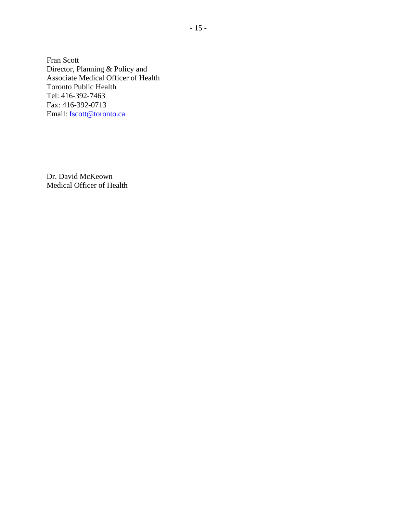Fran Scott Director, Planning & Policy and Associate Medical Officer of Health Toronto Public Health Tel: 416-392-7463 Fax: 416-392-0713 Email: fscott@toronto.ca

Dr. David McKeown Medical Officer of Health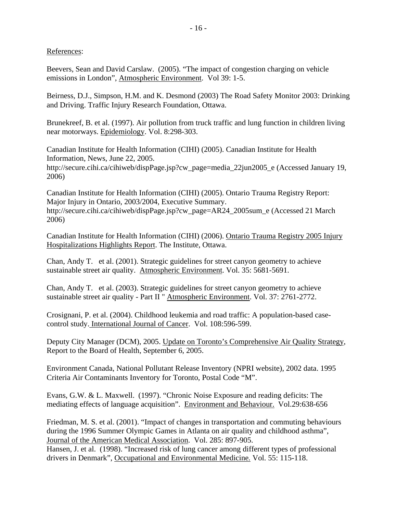References:

Beevers, Sean and David Carslaw. (2005). "The impact of congestion charging on vehicle emissions in London", Atmospheric Environment. Vol 39: 1-5.

Beirness, D.J., Simpson, H.M. and K. Desmond (2003) The Road Safety Monitor 2003: Drinking and Driving. Traffic Injury Research Foundation, Ottawa.

Brunekreef, B. et al. (1997). Air pollution from truck traffic and lung function in children living near motorways. Epidemiology. Vol. 8:298-303.

Canadian Institute for Health Information (CIHI) (2005). Canadian Institute for Health Information, News, June 22, 2005. http://secure.cihi.ca/cihiweb/dispPage.jsp?cw\_page=media\_22jun2005\_e (Accessed January 19, 2006)

Canadian Institute for Health Information (CIHI) (2005). Ontario Trauma Registry Report: Major Injury in Ontario, 2003/2004, Executive Summary. http://secure.cihi.ca/cihiweb/dispPage.jsp?cw\_page=AR24\_2005sum\_e (Accessed 21 March 2006)

Canadian Institute for Health Information (CIHI) (2006). Ontario Trauma Registry 2005 Injury Hospitalizations Highlights Report. The Institute, Ottawa.

Chan, Andy T. et al. (2001). Strategic guidelines for street canyon geometry to achieve sustainable street air quality. Atmospheric Environment. Vol. 35: 5681-5691.

Chan, Andy T. et al. (2003). Strategic guidelines for street canyon geometry to achieve sustainable street air quality - Part II " Atmospheric Environment. Vol. 37: 2761-2772.

Crosignani, P. et al. (2004). Childhood leukemia and road traffic: A population-based casecontrol study. International Journal of Cancer. Vol. 108:596-599.

Deputy City Manager (DCM), 2005. Update on Toronto's Comprehensive Air Quality Strategy, Report to the Board of Health, September 6, 2005.

Environment Canada, National Pollutant Release Inventory (NPRI website), 2002 data. 1995 Criteria Air Contaminants Inventory for Toronto, Postal Code "M".

Evans, G.W. & L. Maxwell. (1997). "Chronic Noise Exposure and reading deficits: The mediating effects of language acquisition". Environment and Behaviour. Vol.29:638-656

Friedman, M. S. et al. (2001). "Impact of changes in transportation and commuting behaviours during the 1996 Summer Olympic Games in Atlanta on air quality and childhood asthma", Journal of the American Medical Association. Vol. 285: 897-905.

Hansen, J. et al. (1998). "Increased risk of lung cancer among different types of professional drivers in Denmark", Occupational and Environmental Medicine*.* Vol. 55: 115-118.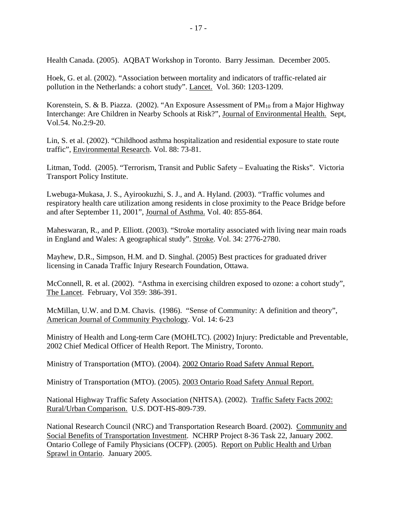Health Canada. (2005). AQBAT Workshop in Toronto. Barry Jessiman. December 2005.

Hoek, G. et al. (2002). "Association between mortality and indicators of traffic-related air pollution in the Netherlands: a cohort study". Lancet. Vol. 360: 1203-1209.

Korenstein, S. & B. Piazza. (2002). "An Exposure Assessment of  $PM_{10}$  from a Major Highway Interchange: Are Children in Nearby Schools at Risk?", Journal of Environmental Health. Sept, Vol.54. No.2:9-20.

Lin, S. et al. (2002). "Childhood asthma hospitalization and residential exposure to state route traffic", Environmental Research. Vol. 88: 73-81.

Litman, Todd. (2005). "Terrorism, Transit and Public Safety – Evaluating the Risks". Victoria Transport Policy Institute.

Lwebuga-Mukasa, J. S., Ayirookuzhi, S. J., and A. Hyland. (2003). "Traffic volumes and respiratory health care utilization among residents in close proximity to the Peace Bridge before and after September 11, 2001", Journal of Asthma. Vol. 40: 855-864.

Maheswaran, R., and P. Elliott. (2003). "Stroke mortality associated with living near main roads in England and Wales: A geographical study". Stroke. Vol. 34: 2776-2780.

Mayhew, D.R., Simpson, H.M. and D. Singhal. (2005) Best practices for graduated driver licensing in Canada Traffic Injury Research Foundation, Ottawa.

McConnell, R. et al. (2002). "Asthma in exercising children exposed to ozone: a cohort study", The Lancet. February, Vol 359: 386-391.

McMillan, U.W. and D.M. Chavis. (1986). "Sense of Community: A definition and theory", American Journal of Community Psychology. Vol. 14: 6-23

Ministry of Health and Long-term Care (MOHLTC). (2002) Injury: Predictable and Preventable, 2002 Chief Medical Officer of Health Report. The Ministry, Toronto.

Ministry of Transportation (MTO). (2004). 2002 Ontario Road Safety Annual Report.

Ministry of Transportation (MTO). (2005). 2003 Ontario Road Safety Annual Report.

National Highway Traffic Safety Association (NHTSA). (2002). Traffic Safety Facts 2002: Rural/Urban Comparison. U.S. DOT-HS-809-739.

National Research Council (NRC) and Transportation Research Board. (2002). Community and Social Benefits of Transportation Investment. NCHRP Project 8-36 Task 22, January 2002. Ontario College of Family Physicians (OCFP). (2005). Report on Public Health and Urban Sprawl in Ontario. January 2005.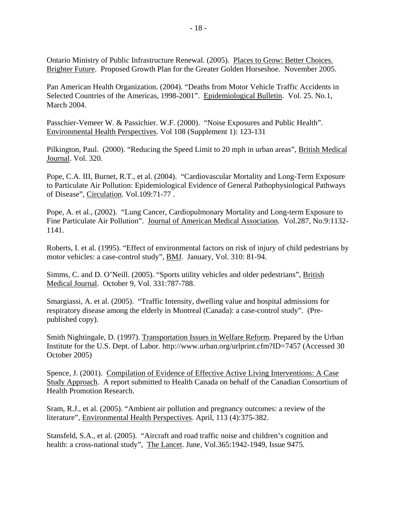Ontario Ministry of Public Infrastructure Renewal. (2005). Places to Grow: Better Choices. Brighter Future. Proposed Growth Plan for the Greater Golden Horseshoe. November 2005.

Pan American Health Organization. (2004). "Deaths from Motor Vehicle Traffic Accidents in Selected Countries of the Americas, 1998-2001". Epidemiological Bulletin. Vol. 25. No.1, March 2004.

Passchier-Vemeer W. & Passichier. W.F. (2000). "Noise Exposures and Public Health". Environmental Health Perspectives. Vol 108 (Supplement 1): 123-131

Pilkington, Paul. (2000). "Reducing the Speed Limit to 20 mph in urban areas", British Medical Journal. Vol. 320.

Pope, C.A. III, Burnet, R.T., et al. (2004). "Cardiovascular Mortality and Long-Term Exposure to Particulate Air Pollution: Epidemiological Evidence of General Pathophysiological Pathways of Disease", Circulation. Vol.109:71-77 .

Pope, A. et al., (2002). "Lung Cancer, Cardiopulmonary Mortality and Long-term Exposure to Fine Particulate Air Pollution". Journal of American Medical Association. Vol.287, No.9:1132- 1141.

Roberts, I. et al. (1995). "Effect of environmental factors on risk of injury of child pedestrians by motor vehicles: a case-control study", BMJ. January, Vol. 310: 81-94.

Simms, C. and D. O'Neill. (2005). "Sports utility vehicles and older pedestrians", British Medical Journal. October 9, Vol. 331:787-788.

Smargiassi, A. et al. (2005). "Traffic Intensity, dwelling value and hospital admissions for respiratory disease among the elderly in Montreal (Canada): a case-control study". (Prepublished copy).

Smith Nightingale, D. (1997). Transportation Issues in Welfare Reform. Prepared by the Urban Institute for the U.S. Dept. of Labor. http://www.urban.org/urlprint.cfm?ID=7457 (Accessed 30 October 2005)

Spence, J. (2001). Compilation of Evidence of Effective Active Living Interventions: A Case Study Approach. A report submitted to Health Canada on behalf of the Canadian Consortium of Health Promotion Research.

Sram, R.J., et al. (2005). "Ambient air pollution and pregnancy outcomes: a review of the literature", Environmental Health Perspectives. April, 113 (4):375-382.

Stansfeld, S.A., et al. (2005). "Aircraft and road traffic noise and children's cognition and health: a cross-national study", The Lancet. June, Vol.365:1942-1949, Issue 9475.